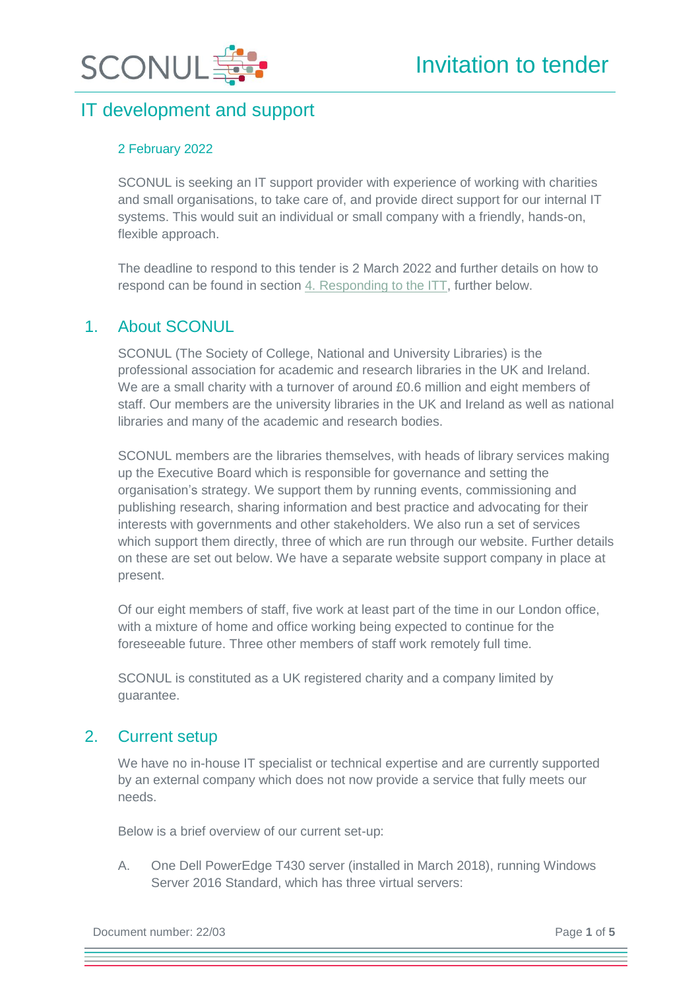



#### 2 February 2022

SCONUL is seeking an IT support provider with experience of working with charities and small organisations, to take care of, and provide direct support for our internal IT systems. This would suit an individual or small company with a friendly, hands-on, flexible approach.

The deadline to respond to this tender is 2 March 2022 and further details on how to respond can be found in section [4. Responding to the ITT,](#page-3-0) further below.

### 1. About SCONUL

SCONUL (The Society of College, National and University Libraries) is the professional association for academic and research libraries in the UK and Ireland. We are a small charity with a turnover of around £0.6 million and eight members of staff. Our members are the university libraries in the UK and Ireland as well as national libraries and many of the academic and research bodies.

SCONUL members are the libraries themselves, with heads of library services making up the Executive Board which is responsible for governance and setting the organisation's strategy. We support them by running events, commissioning and publishing research, sharing information and best practice and advocating for their interests with governments and other stakeholders. We also run a set of services which support them directly, three of which are run through our website. Further details on these are set out below. We have a separate website support company in place at present.

Of our eight members of staff, five work at least part of the time in our London office, with a mixture of home and office working being expected to continue for the foreseeable future. Three other members of staff work remotely full time.

SCONUL is constituted as a UK registered charity and a company limited by guarantee.

### 2. Current setup

We have no in-house IT specialist or technical expertise and are currently supported by an external company which does not now provide a service that fully meets our needs.

Below is a brief overview of our current set-up:

A. One Dell PowerEdge T430 server (installed in March 2018), running Windows Server 2016 Standard, which has three virtual servers:

Document number: 22/03 Page **1** of **5**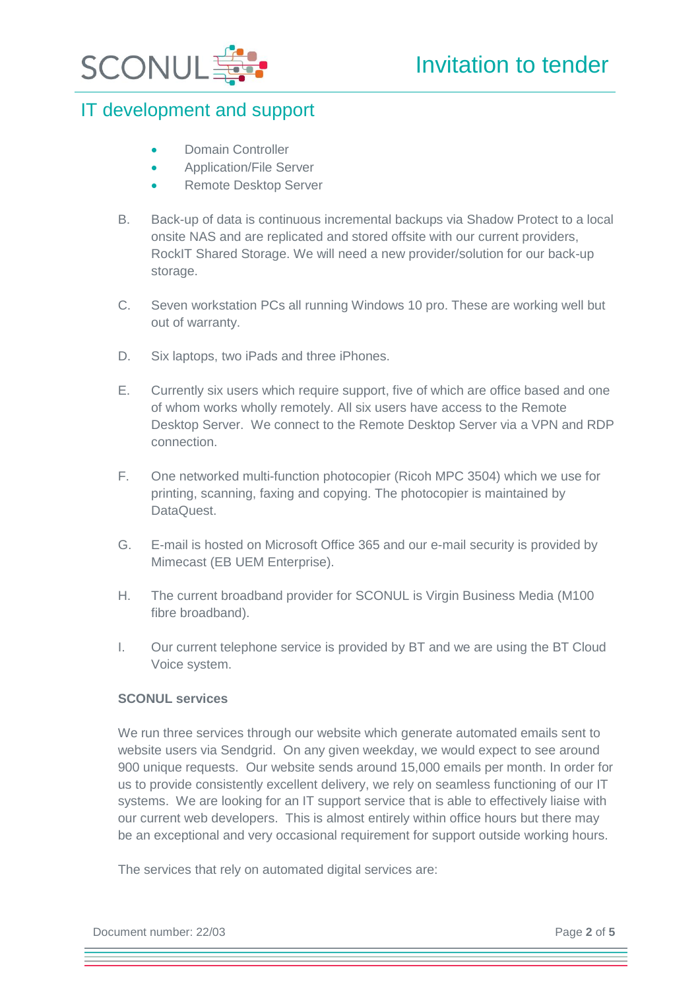

- Domain Controller
- Application/File Server
- Remote Desktop Server
- B. Back-up of data is continuous incremental backups via Shadow Protect to a local onsite NAS and are replicated and stored offsite with our current providers, RockIT Shared Storage. We will need a new provider/solution for our back-up storage.
- C. Seven workstation PCs all running Windows 10 pro. These are working well but out of warranty.
- D. Six laptops, two iPads and three iPhones.
- E. Currently six users which require support, five of which are office based and one of whom works wholly remotely. All six users have access to the Remote Desktop Server. We connect to the Remote Desktop Server via a VPN and RDP connection.
- F. One networked multi-function photocopier (Ricoh MPC 3504) which we use for printing, scanning, faxing and copying. The photocopier is maintained by DataQuest.
- G. E-mail is hosted on Microsoft Office 365 and our e-mail security is provided by Mimecast (EB UEM Enterprise).
- H. The current broadband provider for SCONUL is Virgin Business Media (M100 fibre broadband).
- I. Our current telephone service is provided by BT and we are using the BT Cloud Voice system.

#### **SCONUL services**

We run three services through our website which generate automated emails sent to website users via Sendgrid. On any given weekday, we would expect to see around 900 unique requests. Our website sends around 15,000 emails per month. In order for us to provide consistently excellent delivery, we rely on seamless functioning of our IT systems. We are looking for an IT support service that is able to effectively liaise with our current web developers. This is almost entirely within office hours but there may be an exceptional and very occasional requirement for support outside working hours.

The services that rely on automated digital services are:

Document number: 22/03 Page **2** of **5**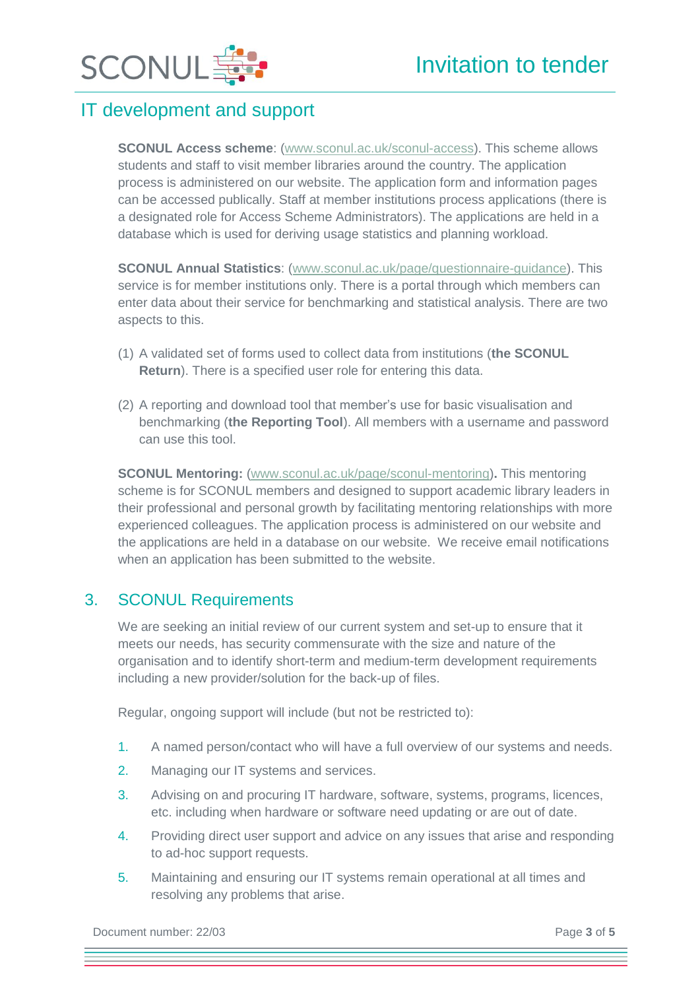

**SCONUL Access scheme**: [\(www.sconul.ac.uk/sconul-access\)](http://www.sconul.ac.uk/sconul-access). This scheme allows students and staff to visit member libraries around the country. The application process is administered on our website. The application form and information pages can be accessed publically. Staff at member institutions process applications (there is a designated role for Access Scheme Administrators). The applications are held in a database which is used for deriving usage statistics and planning workload.

**SCONUL Annual Statistics**: [\(www.sconul.ac.uk/page/questionnaire-guidance\)](http://www.sconul.ac.uk/page/questionnaire-guidance). This service is for member institutions only. There is a portal through which members can enter data about their service for benchmarking and statistical analysis. There are two aspects to this.

- (1) A validated set of forms used to collect data from institutions (**the SCONUL Return**). There is a specified user role for entering this data.
- (2) A reporting and download tool that member's use for basic visualisation and benchmarking (**the Reporting Tool**). All members with a username and password can use this tool.

**SCONUL Mentoring:** [\(www.sconul.ac.uk/page/sconul-mentoring\)](http://www.sconul.ac.uk/page/sconul-mentoring)**.** This mentoring scheme is for SCONUL members and designed to support academic library leaders in their professional and personal growth by facilitating mentoring relationships with more experienced colleagues. The application process is administered on our website and the applications are held in a database on our website. We receive email notifications when an application has been submitted to the website.

## 3. SCONUL Requirements

We are seeking an initial review of our current system and set-up to ensure that it meets our needs, has security commensurate with the size and nature of the organisation and to identify short-term and medium-term development requirements including a new provider/solution for the back-up of files.

Regular, ongoing support will include (but not be restricted to):

- 1. A named person/contact who will have a full overview of our systems and needs.
- 2. Managing our IT systems and services.
- 3. Advising on and procuring IT hardware, software, systems, programs, licences, etc. including when hardware or software need updating or are out of date.
- 4. Providing direct user support and advice on any issues that arise and responding to ad-hoc support requests.
- 5. Maintaining and ensuring our IT systems remain operational at all times and resolving any problems that arise.

Document number: 22/03 Page **3** of **5**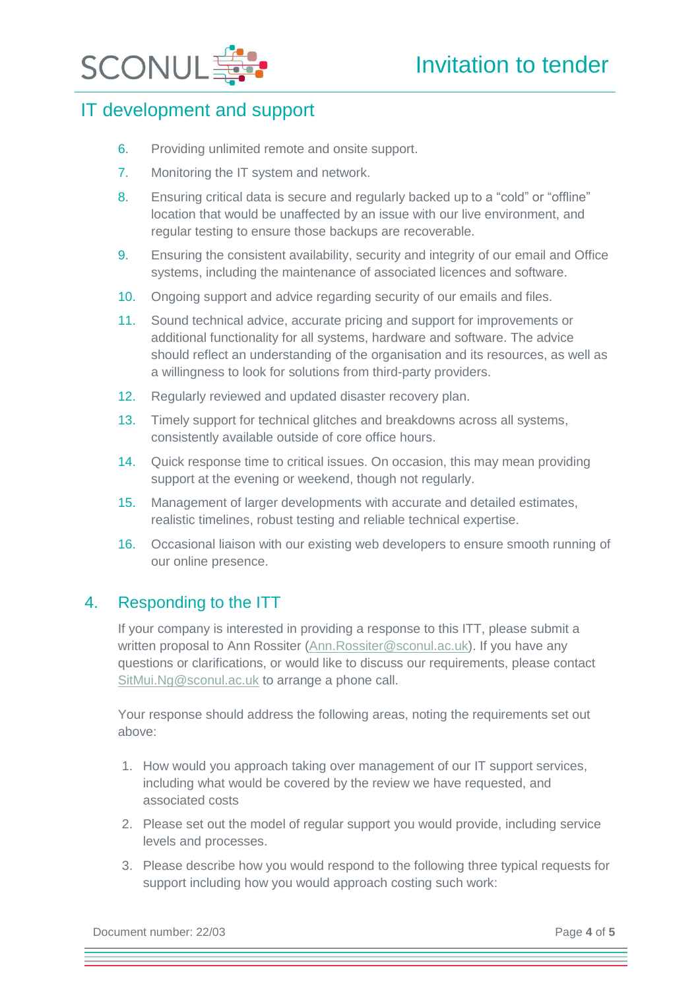



- 6. Providing unlimited remote and onsite support.
- 7. Monitoring the IT system and network.
- 8. Ensuring critical data is secure and regularly backed up to a "cold" or "offline" location that would be unaffected by an issue with our live environment, and regular testing to ensure those backups are recoverable.
- 9. Ensuring the consistent availability, security and integrity of our email and Office systems, including the maintenance of associated licences and software.
- 10. Ongoing support and advice regarding security of our emails and files.
- 11. Sound technical advice, accurate pricing and support for improvements or additional functionality for all systems, hardware and software. The advice should reflect an understanding of the organisation and its resources, as well as a willingness to look for solutions from third-party providers.
- 12. Regularly reviewed and updated disaster recovery plan.
- 13. Timely support for technical glitches and breakdowns across all systems, consistently available outside of core office hours.
- 14. Quick response time to critical issues. On occasion, this may mean providing support at the evening or weekend, though not regularly.
- 15. Management of larger developments with accurate and detailed estimates, realistic timelines, robust testing and reliable technical expertise.
- 16. Occasional liaison with our existing web developers to ensure smooth running of our online presence.

## <span id="page-3-0"></span>4. Responding to the ITT

If your company is interested in providing a response to this ITT, please submit a written proposal to Ann Rossiter [\(Ann.Rossiter@sconul.ac.uk\)](mailto:Ann.Rossiter@sconul.ac.uk). If you have any questions or clarifications, or would like to discuss our requirements, please contact [SitMui.Ng@sconul.ac.uk](mailto:SitMui.Ng@sconul.ac.uk) to arrange a phone call.

Your response should address the following areas, noting the requirements set out above:

- 1. How would you approach taking over management of our IT support services, including what would be covered by the review we have requested, and associated costs
- 2. Please set out the model of regular support you would provide, including service levels and processes.
- 3. Please describe how you would respond to the following three typical requests for support including how you would approach costing such work:

Document number: 22/03 Page 4 of 5